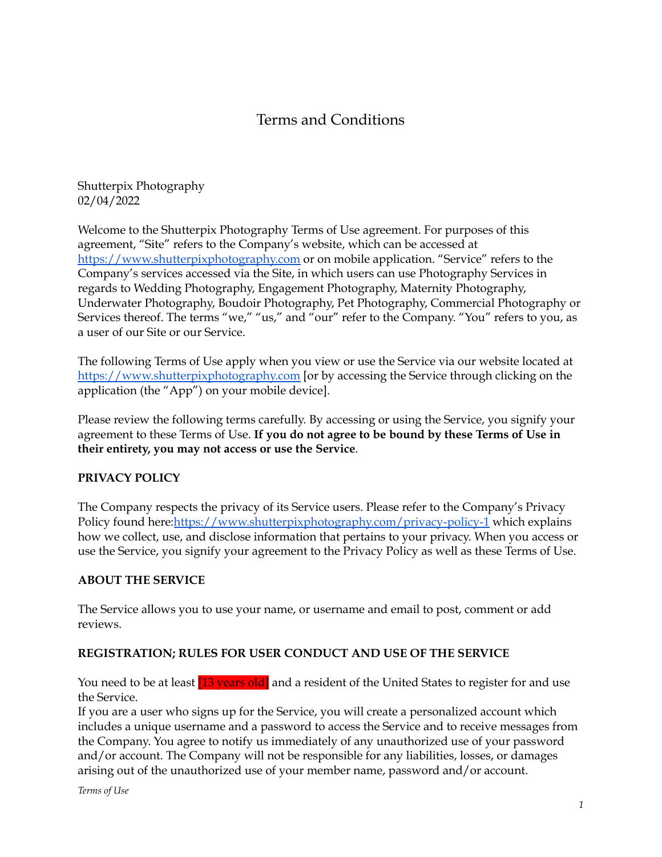# Terms and Conditions

Shutterpix Photography 02/04/2022

Welcome to the Shutterpix Photography Terms of Use agreement. For purposes of this agreement, "Site" refers to the Company's website, which can be accessed at <https://www.shutterpixphotography.com> or on mobile application. "Service" refers to the Company's services accessed via the Site, in which users can use Photography Services in regards to Wedding Photography, Engagement Photography, Maternity Photography, Underwater Photography, Boudoir Photography, Pet Photography, Commercial Photography or Services thereof. The terms "we," "us," and "our" refer to the Company. "You" refers to you, as a user of our Site or our Service.

The following Terms of Use apply when you view or use the Service via our website located at <https://www.shutterpixphotography.com> [or by accessing the Service through clicking on the application (the "App") on your mobile device].

Please review the following terms carefully. By accessing or using the Service, you signify your agreement to these Terms of Use. **If you do not agree to be bound by these Terms of Use in their entirety, you may not access or use the Service**.

### **PRIVACY POLICY**

The Company respects the privacy of its Service users. Please refer to the Company's Privacy Policy found here:<https://www.shutterpixphotography.com/privacy-policy-1> which explains how we collect, use, and disclose information that pertains to your privacy. When you access or use the Service, you signify your agreement to the Privacy Policy as well as these Terms of Use.

### **ABOUT THE SERVICE**

The Service allows you to use your name, or username and email to post, comment or add reviews.

### **REGISTRATION; RULES FOR USER CONDUCT AND USE OF THE SERVICE**

You need to be at least [13 years old] and a resident of the United States to register for and use the Service.

If you are a user who signs up for the Service, you will create a personalized account which includes a unique username and a password to access the Service and to receive messages from the Company. You agree to notify us immediately of any unauthorized use of your password and/or account. The Company will not be responsible for any liabilities, losses, or damages arising out of the unauthorized use of your member name, password and/or account.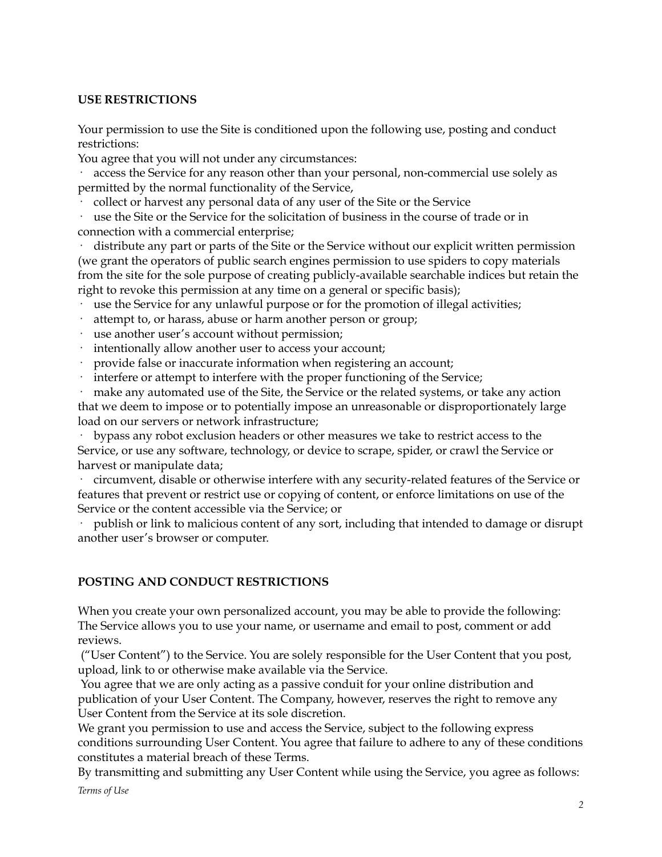#### **USE RESTRICTIONS**

Your permission to use the Site is conditioned upon the following use, posting and conduct restrictions:

You agree that you will not under any circumstances:

access the Service for any reason other than your personal, non-commercial use solely as permitted by the normal functionality of the Service,

· collect or harvest any personal data of any user of the Site or the Service

use the Site or the Service for the solicitation of business in the course of trade or in connection with a commercial enterprise;

distribute any part or parts of the Site or the Service without our explicit written permission (we grant the operators of public search engines permission to use spiders to copy materials from the site for the sole purpose of creating publicly-available searchable indices but retain the right to revoke this permission at any time on a general or specific basis);

- · use the Service for any unlawful purpose or for the promotion of illegal activities;
- attempt to, or harass, abuse or harm another person or group;
- use another user's account without permission;
- intentionally allow another user to access your account;
- provide false or inaccurate information when registering an account;
- interfere or attempt to interfere with the proper functioning of the Service;

make any automated use of the Site, the Service or the related systems, or take any action that we deem to impose or to potentially impose an unreasonable or disproportionately large load on our servers or network infrastructure;

· bypass any robot exclusion headers or other measures we take to restrict access to the Service, or use any software, technology, or device to scrape, spider, or crawl the Service or harvest or manipulate data;

· circumvent, disable or otherwise interfere with any security-related features of the Service or features that prevent or restrict use or copying of content, or enforce limitations on use of the Service or the content accessible via the Service; or

publish or link to malicious content of any sort, including that intended to damage or disrupt another user's browser or computer.

### **POSTING AND CONDUCT RESTRICTIONS**

When you create your own personalized account, you may be able to provide the following: The Service allows you to use your name, or username and email to post, comment or add reviews.

("User Content") to the Service. You are solely responsible for the User Content that you post, upload, link to or otherwise make available via the Service.

You agree that we are only acting as a passive conduit for your online distribution and publication of your User Content. The Company, however, reserves the right to remove any User Content from the Service at its sole discretion.

We grant you permission to use and access the Service, subject to the following express conditions surrounding User Content. You agree that failure to adhere to any of these conditions constitutes a material breach of these Terms.

By transmitting and submitting any User Content while using the Service, you agree as follows: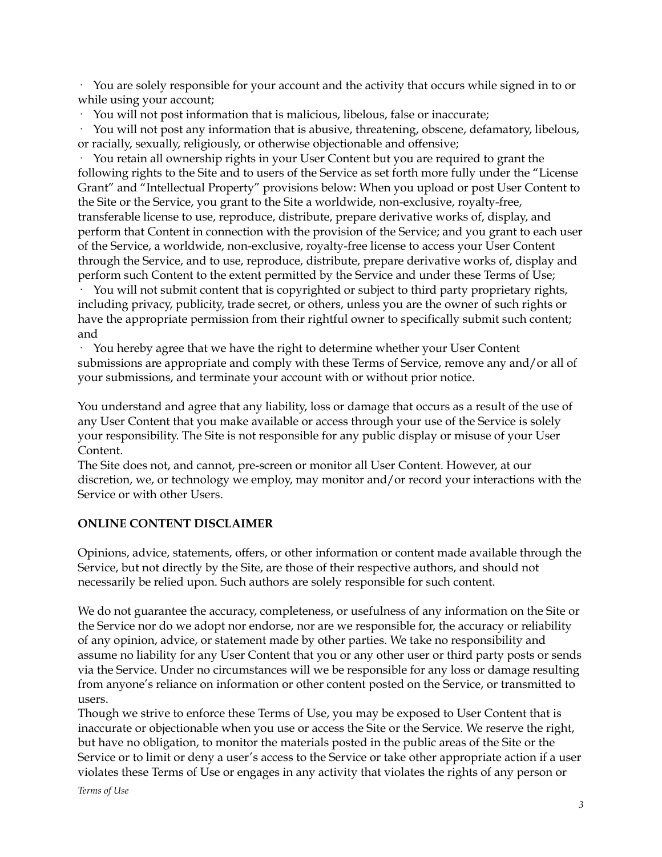· You are solely responsible for your account and the activity that occurs while signed in to or while using your account;

· You will not post information that is malicious, libelous, false or inaccurate;

· You will not post any information that is abusive, threatening, obscene, defamatory, libelous, or racially, sexually, religiously, or otherwise objectionable and offensive;

· You retain all ownership rights in your User Content but you are required to grant the following rights to the Site and to users of the Service as set forth more fully under the "License Grant" and "Intellectual Property" provisions below: When you upload or post User Content to the Site or the Service, you grant to the Site a worldwide, non-exclusive, royalty-free, transferable license to use, reproduce, distribute, prepare derivative works of, display, and perform that Content in connection with the provision of the Service; and you grant to each user of the Service, a worldwide, non-exclusive, royalty-free license to access your User Content through the Service, and to use, reproduce, distribute, prepare derivative works of, display and perform such Content to the extent permitted by the Service and under these Terms of Use;

· You will not submit content that is copyrighted or subject to third party proprietary rights, including privacy, publicity, trade secret, or others, unless you are the owner of such rights or have the appropriate permission from their rightful owner to specifically submit such content; and

· You hereby agree that we have the right to determine whether your User Content submissions are appropriate and comply with these Terms of Service, remove any and/or all of your submissions, and terminate your account with or without prior notice.

You understand and agree that any liability, loss or damage that occurs as a result of the use of any User Content that you make available or access through your use of the Service is solely your responsibility. The Site is not responsible for any public display or misuse of your User Content.

The Site does not, and cannot, pre-screen or monitor all User Content. However, at our discretion, we, or technology we employ, may monitor and/or record your interactions with the Service or with other Users.

### **ONLINE CONTENT DISCLAIMER**

Opinions, advice, statements, offers, or other information or content made available through the Service, but not directly by the Site, are those of their respective authors, and should not necessarily be relied upon. Such authors are solely responsible for such content.

We do not guarantee the accuracy, completeness, or usefulness of any information on the Site or the Service nor do we adopt nor endorse, nor are we responsible for, the accuracy or reliability of any opinion, advice, or statement made by other parties. We take no responsibility and assume no liability for any User Content that you or any other user or third party posts or sends via the Service. Under no circumstances will we be responsible for any loss or damage resulting from anyone's reliance on information or other content posted on the Service, or transmitted to users.

Though we strive to enforce these Terms of Use, you may be exposed to User Content that is inaccurate or objectionable when you use or access the Site or the Service. We reserve the right, but have no obligation, to monitor the materials posted in the public areas of the Site or the Service or to limit or deny a user's access to the Service or take other appropriate action if a user violates these Terms of Use or engages in any activity that violates the rights of any person or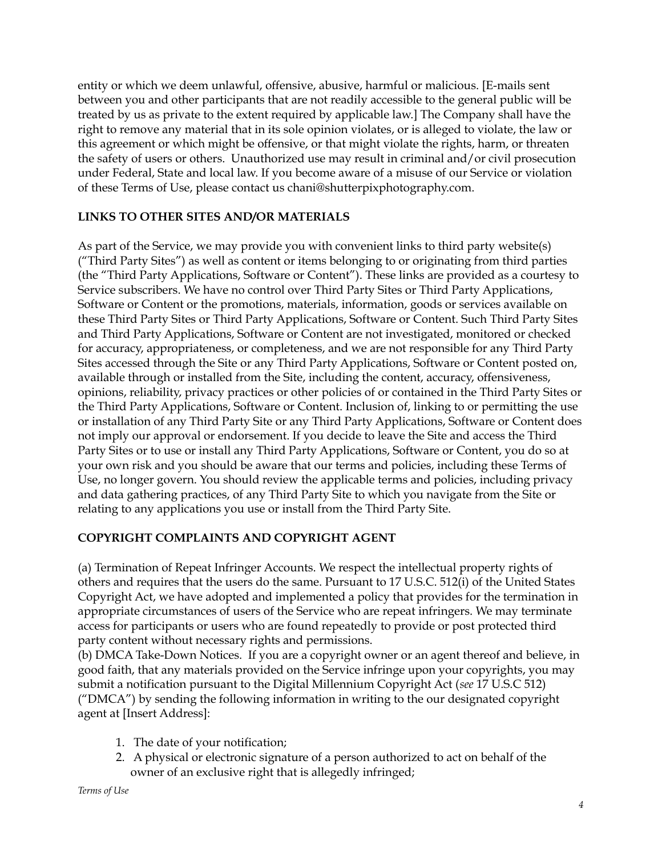entity or which we deem unlawful, offensive, abusive, harmful or malicious. [E-mails sent between you and other participants that are not readily accessible to the general public will be treated by us as private to the extent required by applicable law.] The Company shall have the right to remove any material that in its sole opinion violates, or is alleged to violate, the law or this agreement or which might be offensive, or that might violate the rights, harm, or threaten the safety of users or others. Unauthorized use may result in criminal and/or civil prosecution under Federal, State and local law. If you become aware of a misuse of our Service or violation of these Terms of Use, please contact us chani@shutterpixphotography.com.

### **LINKS TO OTHER SITES AND/OR MATERIALS**

As part of the Service, we may provide you with convenient links to third party website(s) ("Third Party Sites") as well as content or items belonging to or originating from third parties (the "Third Party Applications, Software or Content"). These links are provided as a courtesy to Service subscribers. We have no control over Third Party Sites or Third Party Applications, Software or Content or the promotions, materials, information, goods or services available on these Third Party Sites or Third Party Applications, Software or Content. Such Third Party Sites and Third Party Applications, Software or Content are not investigated, monitored or checked for accuracy, appropriateness, or completeness, and we are not responsible for any Third Party Sites accessed through the Site or any Third Party Applications, Software or Content posted on, available through or installed from the Site, including the content, accuracy, offensiveness, opinions, reliability, privacy practices or other policies of or contained in the Third Party Sites or the Third Party Applications, Software or Content. Inclusion of, linking to or permitting the use or installation of any Third Party Site or any Third Party Applications, Software or Content does not imply our approval or endorsement. If you decide to leave the Site and access the Third Party Sites or to use or install any Third Party Applications, Software or Content, you do so at your own risk and you should be aware that our terms and policies, including these Terms of Use, no longer govern. You should review the applicable terms and policies, including privacy and data gathering practices, of any Third Party Site to which you navigate from the Site or relating to any applications you use or install from the Third Party Site.

### **COPYRIGHT COMPLAINTS AND COPYRIGHT AGENT**

(a) Termination of Repeat Infringer Accounts. We respect the intellectual property rights of others and requires that the users do the same. Pursuant to 17 U.S.C. 512(i) of the United States Copyright Act, we have adopted and implemented a policy that provides for the termination in appropriate circumstances of users of the Service who are repeat infringers. We may terminate access for participants or users who are found repeatedly to provide or post protected third party content without necessary rights and permissions.

(b) DMCA Take-Down Notices. If you are a copyright owner or an agent thereof and believe, in good faith, that any materials provided on the Service infringe upon your copyrights, you may submit a notification pursuant to the Digital Millennium Copyright Act (*see* 17 U.S.C 512) ("DMCA") by sending the following information in writing to the our designated copyright agent at [Insert Address]:

- 1. The date of your notification;
- 2. A physical or electronic signature of a person authorized to act on behalf of the owner of an exclusive right that is allegedly infringed;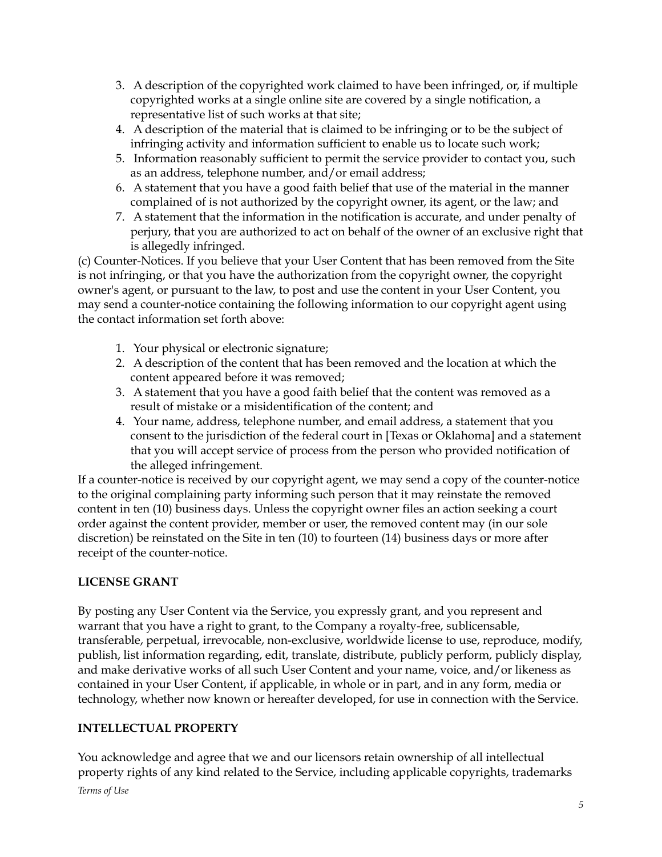- 3. A description of the copyrighted work claimed to have been infringed, or, if multiple copyrighted works at a single online site are covered by a single notification, a representative list of such works at that site;
- 4. A description of the material that is claimed to be infringing or to be the subject of infringing activity and information sufficient to enable us to locate such work;
- 5. Information reasonably sufficient to permit the service provider to contact you, such as an address, telephone number, and/or email address;
- 6. A statement that you have a good faith belief that use of the material in the manner complained of is not authorized by the copyright owner, its agent, or the law; and
- 7. A statement that the information in the notification is accurate, and under penalty of perjury, that you are authorized to act on behalf of the owner of an exclusive right that is allegedly infringed.

(c) Counter-Notices. If you believe that your User Content that has been removed from the Site is not infringing, or that you have the authorization from the copyright owner, the copyright owner's agent, or pursuant to the law, to post and use the content in your User Content, you may send a counter-notice containing the following information to our copyright agent using the contact information set forth above:

- 1. Your physical or electronic signature;
- 2. A description of the content that has been removed and the location at which the content appeared before it was removed;
- 3. A statement that you have a good faith belief that the content was removed as a result of mistake or a misidentification of the content; and
- 4. Your name, address, telephone number, and email address, a statement that you consent to the jurisdiction of the federal court in [Texas or Oklahoma] and a statement that you will accept service of process from the person who provided notification of the alleged infringement.

If a counter-notice is received by our copyright agent, we may send a copy of the counter-notice to the original complaining party informing such person that it may reinstate the removed content in ten (10) business days. Unless the copyright owner files an action seeking a court order against the content provider, member or user, the removed content may (in our sole discretion) be reinstated on the Site in ten (10) to fourteen (14) business days or more after receipt of the counter-notice.

### **LICENSE GRANT**

By posting any User Content via the Service, you expressly grant, and you represent and warrant that you have a right to grant, to the Company a royalty-free, sublicensable, transferable, perpetual, irrevocable, non-exclusive, worldwide license to use, reproduce, modify, publish, list information regarding, edit, translate, distribute, publicly perform, publicly display, and make derivative works of all such User Content and your name, voice, and/or likeness as contained in your User Content, if applicable, in whole or in part, and in any form, media or technology, whether now known or hereafter developed, for use in connection with the Service.

### **INTELLECTUAL PROPERTY**

You acknowledge and agree that we and our licensors retain ownership of all intellectual property rights of any kind related to the Service, including applicable copyrights, trademarks

*Terms of Use*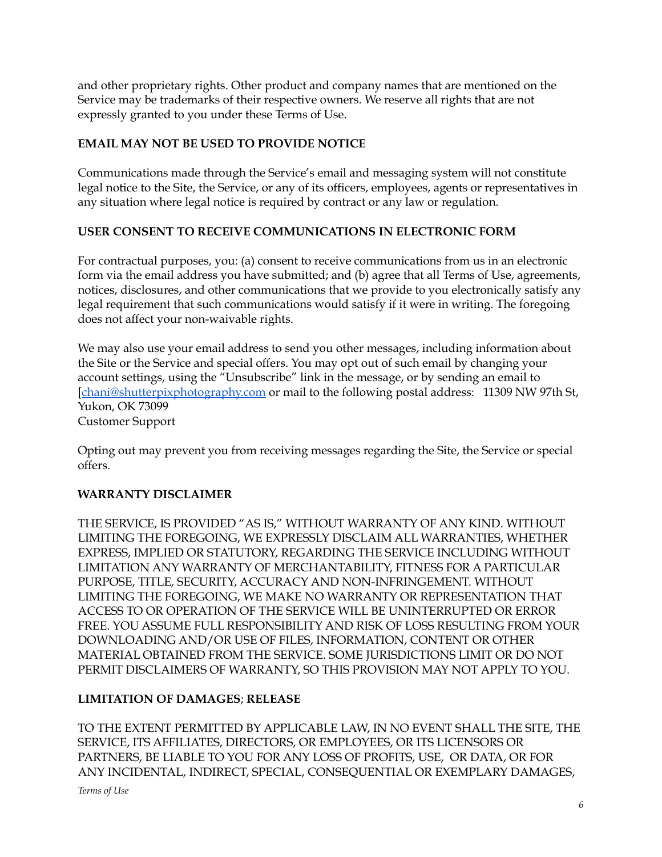and other proprietary rights. Other product and company names that are mentioned on the Service may be trademarks of their respective owners. We reserve all rights that are not expressly granted to you under these Terms of Use.

### **EMAIL MAY NOT BE USED TO PROVIDE NOTICE**

Communications made through the Service's email and messaging system will not constitute legal notice to the Site, the Service, or any of its officers, employees, agents or representatives in any situation where legal notice is required by contract or any law or regulation.

### **USER CONSENT TO RECEIVE COMMUNICATIONS IN ELECTRONIC FORM**

For contractual purposes, you: (a) consent to receive communications from us in an electronic form via the email address you have submitted; and (b) agree that all Terms of Use, agreements, notices, disclosures, and other communications that we provide to you electronically satisfy any legal requirement that such communications would satisfy if it were in writing. The foregoing does not affect your non-waivable rights.

We may also use your email address to send you other messages, including information about the Site or the Service and special offers. You may opt out of such email by changing your account settings, using the "Unsubscribe" link in the message, or by sending an email to [[chani@shutterpixphotography.com](mailto:chani@shutterpixphotography.com) or mail to the following postal address: 11309 NW 97th St, Yukon, OK 73099

Customer Support

Opting out may prevent you from receiving messages regarding the Site, the Service or special offers.

## **WARRANTY DISCLAIMER**

THE SERVICE, IS PROVIDED "AS IS," WITHOUT WARRANTY OF ANY KIND. WITHOUT LIMITING THE FOREGOING, WE EXPRESSLY DISCLAIM ALL WARRANTIES, WHETHER EXPRESS, IMPLIED OR STATUTORY, REGARDING THE SERVICE INCLUDING WITHOUT LIMITATION ANY WARRANTY OF MERCHANTABILITY, FITNESS FOR A PARTICULAR PURPOSE, TITLE, SECURITY, ACCURACY AND NON-INFRINGEMENT. WITHOUT LIMITING THE FOREGOING, WE MAKE NO WARRANTY OR REPRESENTATION THAT ACCESS TO OR OPERATION OF THE SERVICE WILL BE UNINTERRUPTED OR ERROR FREE. YOU ASSUME FULL RESPONSIBILITY AND RISK OF LOSS RESULTING FROM YOUR DOWNLOADING AND/OR USE OF FILES, INFORMATION, CONTENT OR OTHER MATERIAL OBTAINED FROM THE SERVICE. SOME JURISDICTIONS LIMIT OR DO NOT PERMIT DISCLAIMERS OF WARRANTY, SO THIS PROVISION MAY NOT APPLY TO YOU.

### **LIMITATION OF DAMAGES**; **RELEASE**

TO THE EXTENT PERMITTED BY APPLICABLE LAW, IN NO EVENT SHALL THE SITE, THE SERVICE, ITS AFFILIATES, DIRECTORS, OR EMPLOYEES, OR ITS LICENSORS OR PARTNERS, BE LIABLE TO YOU FOR ANY LOSS OF PROFITS, USE, OR DATA, OR FOR ANY INCIDENTAL, INDIRECT, SPECIAL, CONSEQUENTIAL OR EXEMPLARY DAMAGES,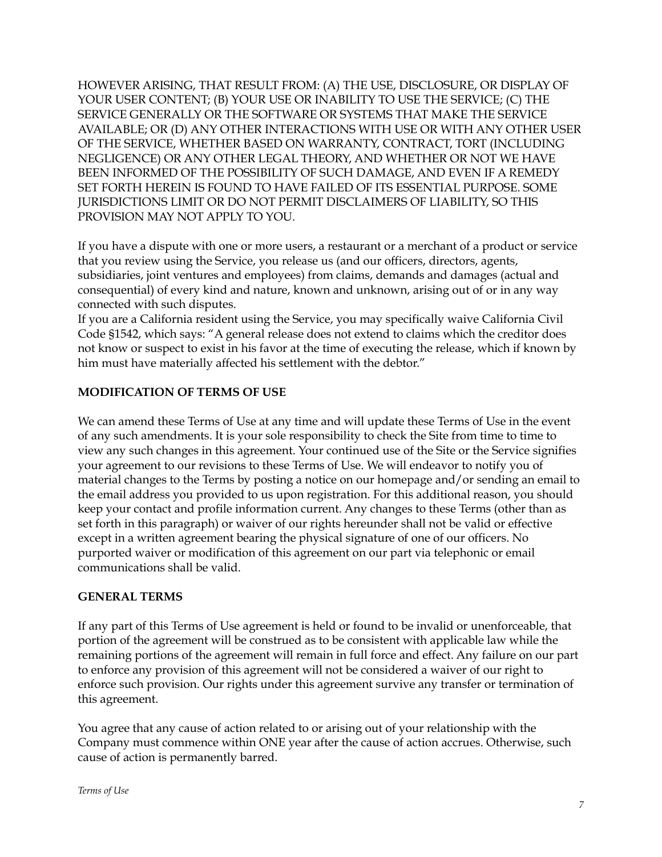HOWEVER ARISING, THAT RESULT FROM: (A) THE USE, DISCLOSURE, OR DISPLAY OF YOUR USER CONTENT; (B) YOUR USE OR INABILITY TO USE THE SERVICE; (C) THE SERVICE GENERALLY OR THE SOFTWARE OR SYSTEMS THAT MAKE THE SERVICE AVAILABLE; OR (D) ANY OTHER INTERACTIONS WITH USE OR WITH ANY OTHER USER OF THE SERVICE, WHETHER BASED ON WARRANTY, CONTRACT, TORT (INCLUDING NEGLIGENCE) OR ANY OTHER LEGAL THEORY, AND WHETHER OR NOT WE HAVE BEEN INFORMED OF THE POSSIBILITY OF SUCH DAMAGE, AND EVEN IF A REMEDY SET FORTH HEREIN IS FOUND TO HAVE FAILED OF ITS ESSENTIAL PURPOSE. SOME JURISDICTIONS LIMIT OR DO NOT PERMIT DISCLAIMERS OF LIABILITY, SO THIS PROVISION MAY NOT APPLY TO YOU.

If you have a dispute with one or more users, a restaurant or a merchant of a product or service that you review using the Service, you release us (and our officers, directors, agents, subsidiaries, joint ventures and employees) from claims, demands and damages (actual and consequential) of every kind and nature, known and unknown, arising out of or in any way connected with such disputes.

If you are a California resident using the Service, you may specifically waive California Civil Code §1542, which says: "A general release does not extend to claims which the creditor does not know or suspect to exist in his favor at the time of executing the release, which if known by him must have materially affected his settlement with the debtor."

### **MODIFICATION OF TERMS OF USE**

We can amend these Terms of Use at any time and will update these Terms of Use in the event of any such amendments. It is your sole responsibility to check the Site from time to time to view any such changes in this agreement. Your continued use of the Site or the Service signifies your agreement to our revisions to these Terms of Use. We will endeavor to notify you of material changes to the Terms by posting a notice on our homepage and/or sending an email to the email address you provided to us upon registration. For this additional reason, you should keep your contact and profile information current. Any changes to these Terms (other than as set forth in this paragraph) or waiver of our rights hereunder shall not be valid or effective except in a written agreement bearing the physical signature of one of our officers. No purported waiver or modification of this agreement on our part via telephonic or email communications shall be valid.

### **GENERAL TERMS**

If any part of this Terms of Use agreement is held or found to be invalid or unenforceable, that portion of the agreement will be construed as to be consistent with applicable law while the remaining portions of the agreement will remain in full force and effect. Any failure on our part to enforce any provision of this agreement will not be considered a waiver of our right to enforce such provision. Our rights under this agreement survive any transfer or termination of this agreement.

You agree that any cause of action related to or arising out of your relationship with the Company must commence within ONE year after the cause of action accrues. Otherwise, such cause of action is permanently barred.